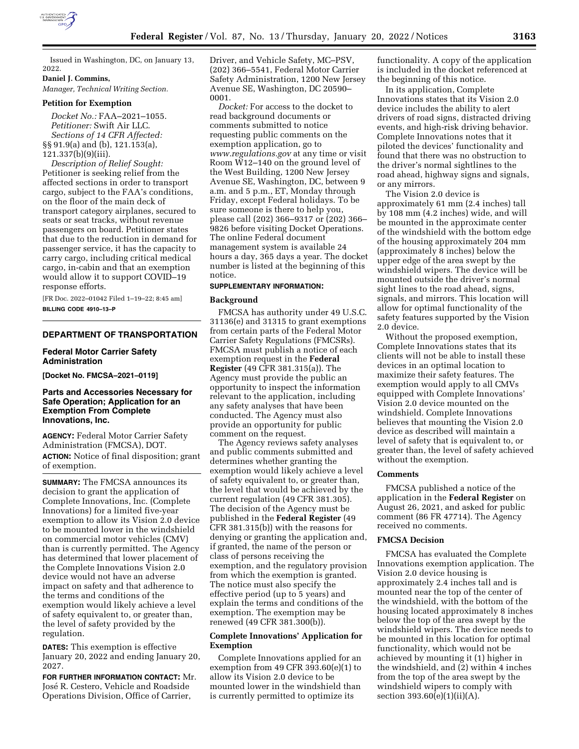

Issued in Washington, DC, on January 13, 2022.

### **Daniel J. Commins,**

*Manager, Technical Writing Section.* 

#### **Petition for Exemption**

*Docket No.:* FAA–2021–1055. *Petitioner:* Swift Air LLC. *Sections of 14 CFR Affected:*  §§ 91.9(a) and (b), 121.153(a), 121.337(b)(9)(iii).

*Description of Relief Sought:*  Petitioner is seeking relief from the affected sections in order to transport cargo, subject to the FAA's conditions, on the floor of the main deck of transport category airplanes, secured to seats or seat tracks, without revenue passengers on board. Petitioner states that due to the reduction in demand for passenger service, it has the capacity to carry cargo, including critical medical cargo, in-cabin and that an exemption would allow it to support COVID–19 response efforts.

[FR Doc. 2022–01042 Filed 1–19–22; 8:45 am] **BILLING CODE 4910–13–P** 

# **DEPARTMENT OF TRANSPORTATION**

# **Federal Motor Carrier Safety Administration**

**[Docket No. FMCSA–2021–0119]** 

# **Parts and Accessories Necessary for Safe Operation; Application for an Exemption From Complete Innovations, Inc.**

**AGENCY:** Federal Motor Carrier Safety Administration (FMCSA), DOT. **ACTION:** Notice of final disposition; grant of exemption.

**SUMMARY:** The FMCSA announces its decision to grant the application of Complete Innovations, Inc. (Complete Innovations) for a limited five-year exemption to allow its Vision 2.0 device to be mounted lower in the windshield on commercial motor vehicles (CMV) than is currently permitted. The Agency has determined that lower placement of the Complete Innovations Vision 2.0 device would not have an adverse impact on safety and that adherence to the terms and conditions of the exemption would likely achieve a level of safety equivalent to, or greater than, the level of safety provided by the regulation.

**DATES:** This exemption is effective January 20, 2022 and ending January 20, 2027.

**FOR FURTHER INFORMATION CONTACT:** Mr. José R. Cestero, Vehicle and Roadside Operations Division, Office of Carrier,

Driver, and Vehicle Safety, MC–PSV, (202) 366–5541, Federal Motor Carrier Safety Administration, 1200 New Jersey Avenue SE, Washington, DC 20590– 0001.

*Docket:* For access to the docket to read background documents or comments submitted to notice requesting public comments on the exemption application, go to *[www.regulations.gov](http://www.regulations.gov)* at any time or visit Room W12–140 on the ground level of the West Building, 1200 New Jersey Avenue SE, Washington, DC, between 9 a.m. and 5 p.m., ET, Monday through Friday, except Federal holidays. To be sure someone is there to help you, please call (202) 366–9317 or (202) 366– 9826 before visiting Docket Operations. The online Federal document management system is available 24 hours a day, 365 days a year. The docket number is listed at the beginning of this notice.

### **SUPPLEMENTARY INFORMATION:**

#### **Background**

FMCSA has authority under 49 U.S.C. 31136(e) and 31315 to grant exemptions from certain parts of the Federal Motor Carrier Safety Regulations (FMCSRs). FMCSA must publish a notice of each exemption request in the **Federal Register** (49 CFR 381.315(a)). The Agency must provide the public an opportunity to inspect the information relevant to the application, including any safety analyses that have been conducted. The Agency must also provide an opportunity for public comment on the request.

The Agency reviews safety analyses and public comments submitted and determines whether granting the exemption would likely achieve a level of safety equivalent to, or greater than, the level that would be achieved by the current regulation (49 CFR 381.305). The decision of the Agency must be published in the **Federal Register** (49 CFR 381.315(b)) with the reasons for denying or granting the application and, if granted, the name of the person or class of persons receiving the exemption, and the regulatory provision from which the exemption is granted. The notice must also specify the effective period (up to 5 years) and explain the terms and conditions of the exemption. The exemption may be renewed (49 CFR 381.300(b)).

# **Complete Innovations' Application for Exemption**

Complete Innovations applied for an exemption from 49 CFR 393.60(e)(1) to allow its Vision 2.0 device to be mounted lower in the windshield than is currently permitted to optimize its

functionality. A copy of the application is included in the docket referenced at the beginning of this notice.

In its application, Complete Innovations states that its Vision 2.0 device includes the ability to alert drivers of road signs, distracted driving events, and high-risk driving behavior. Complete Innovations notes that it piloted the devices' functionality and found that there was no obstruction to the driver's normal sightlines to the road ahead, highway signs and signals, or any mirrors.

The Vision 2.0 device is approximately 61 mm (2.4 inches) tall by 108 mm (4.2 inches) wide, and will be mounted in the approximate center of the windshield with the bottom edge of the housing approximately 204 mm (approximately 8 inches) below the upper edge of the area swept by the windshield wipers. The device will be mounted outside the driver's normal sight lines to the road ahead, signs, signals, and mirrors. This location will allow for optimal functionality of the safety features supported by the Vision 2.0 device.

Without the proposed exemption, Complete Innovations states that its clients will not be able to install these devices in an optimal location to maximize their safety features. The exemption would apply to all CMVs equipped with Complete Innovations' Vision 2.0 device mounted on the windshield. Complete Innovations believes that mounting the Vision 2.0 device as described will maintain a level of safety that is equivalent to, or greater than, the level of safety achieved without the exemption.

### **Comments**

FMCSA published a notice of the application in the **Federal Register** on August 26, 2021, and asked for public comment (86 FR 47714). The Agency received no comments.

#### **FMCSA Decision**

FMCSA has evaluated the Complete Innovations exemption application. The Vision 2.0 device housing is approximately 2.4 inches tall and is mounted near the top of the center of the windshield, with the bottom of the housing located approximately 8 inches below the top of the area swept by the windshield wipers. The device needs to be mounted in this location for optimal functionality, which would not be achieved by mounting it (1) higher in the windshield, and (2) within 4 inches from the top of the area swept by the windshield wipers to comply with section 393.60(e)(1)(ii)(A).